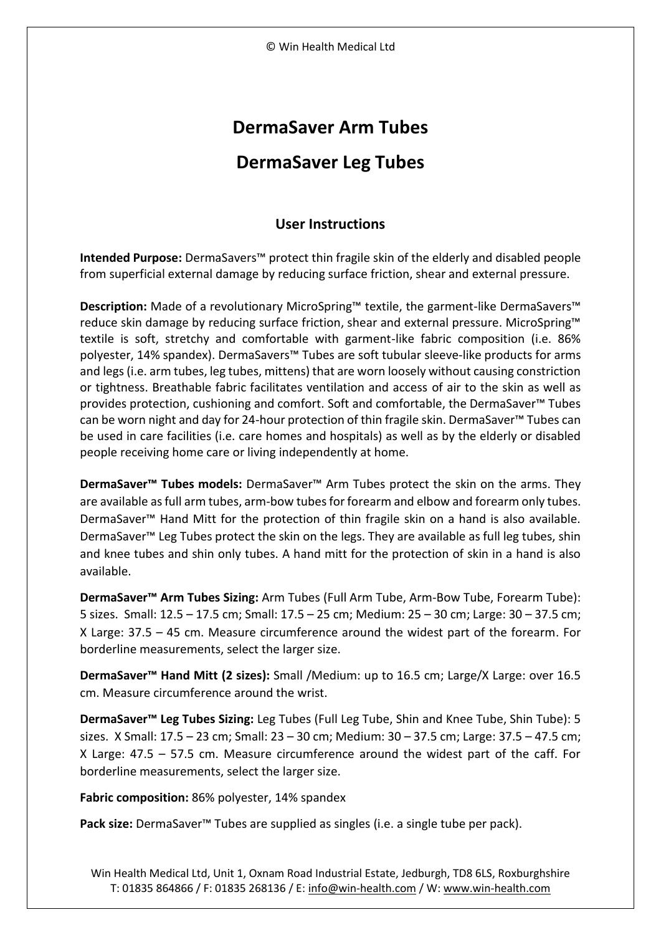## **DermaSaver Arm Tubes**

## **DermaSaver Leg Tubes**

## **User Instructions**

**Intended Purpose:** DermaSavers™ protect thin fragile skin of the elderly and disabled people from superficial external damage by reducing surface friction, shear and external pressure.

**Description:** Made of a revolutionary MicroSpring™ textile, the garment-like DermaSavers<sup>™</sup> reduce skin damage by reducing surface friction, shear and external pressure. MicroSpring™ textile is soft, stretchy and comfortable with garment-like fabric composition (i.e. 86% polyester, 14% spandex). DermaSavers™ Tubes are soft tubular sleeve-like products for arms and legs (i.e. arm tubes, leg tubes, mittens) that are worn loosely without causing constriction or tightness. Breathable fabric facilitates ventilation and access of air to the skin as well as provides protection, cushioning and comfort. Soft and comfortable, the DermaSaver™ Tubes can be worn night and day for 24-hour protection of thin fragile skin. DermaSaver™ Tubes can be used in care facilities (i.e. care homes and hospitals) as well as by the elderly or disabled people receiving home care or living independently at home.

**DermaSaver™ Tubes models:** DermaSaver™ Arm Tubes protect the skin on the arms. They are available as full arm tubes, arm-bow tubes for forearm and elbow and forearm only tubes. DermaSaver™ Hand Mitt for the protection of thin fragile skin on a hand is also available. DermaSaver™ Leg Tubes protect the skin on the legs. They are available as full leg tubes, shin and knee tubes and shin only tubes. A hand mitt for the protection of skin in a hand is also available.

**DermaSaver™ Arm Tubes Sizing:** Arm Tubes (Full Arm Tube, Arm-Bow Tube, Forearm Tube): 5 sizes. Small: 12.5 – 17.5 cm; Small: 17.5 – 25 cm; Medium: 25 – 30 cm; Large: 30 – 37.5 cm; X Large: 37.5 – 45 cm. Measure circumference around the widest part of the forearm. For borderline measurements, select the larger size.

**DermaSaver™ Hand Mitt (2 sizes):** Small /Medium: up to 16.5 cm; Large/X Large: over 16.5 cm. Measure circumference around the wrist.

**DermaSaver™ Leg Tubes Sizing:** Leg Tubes (Full Leg Tube, Shin and Knee Tube, Shin Tube): 5 sizes. X Small: 17.5 – 23 cm; Small: 23 – 30 cm; Medium: 30 – 37.5 cm; Large: 37.5 – 47.5 cm; X Large: 47.5 – 57.5 cm. Measure circumference around the widest part of the caff. For borderline measurements, select the larger size.

**Fabric composition:** 86% polyester, 14% spandex

Pack size: DermaSaver<sup>™</sup> Tubes are supplied as singles (i.e. a single tube per pack).

Win Health Medical Ltd, Unit 1, Oxnam Road Industrial Estate, Jedburgh, TD8 6LS, Roxburghshire T: 01835 864866 / F: 01835 268136 / E[: info@win-health.com](mailto:info@win-health.com) / W: [www.win-health.com](http://www.win-health.com/)